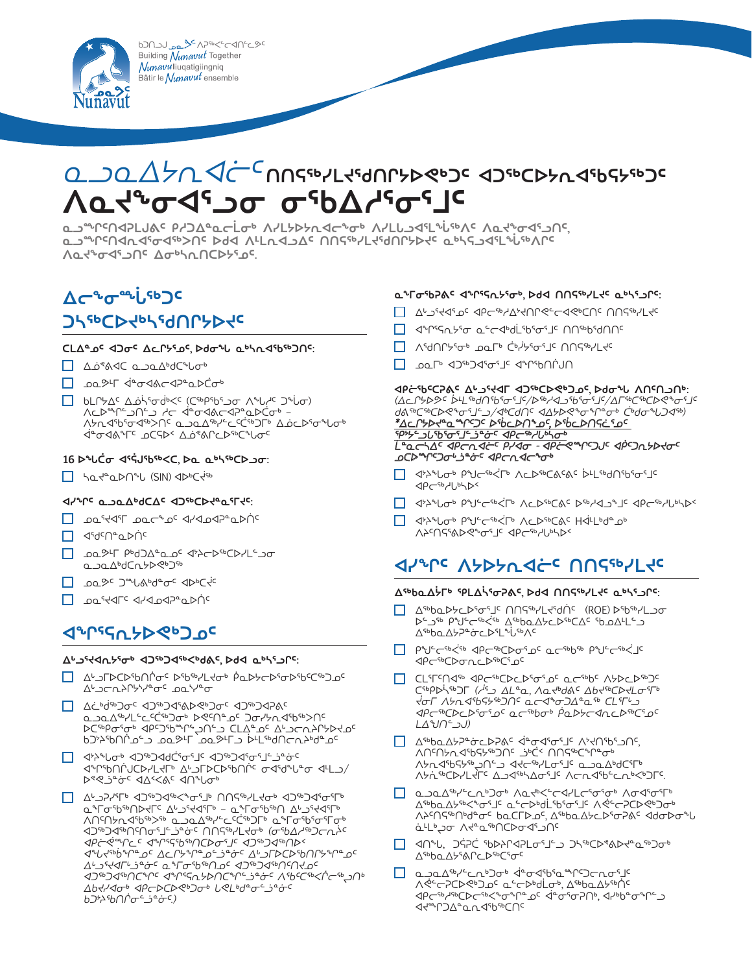620123344544444444544 Building Nunavut Together Nunavuliuqatigiingniq .<br>Bâtir le *Nunavut* ensemble



# <u> a محکوم کے کارے کے محکومت کا کہ کارے مح</u> **ᐱᓇᔪᖕᓂᐊᕐᓗᓂ ᓂᖃᐃᓱᕐᓂᕐᒧᑦ**

**ᓇᓗᙱᑦᑎᐊᕈᒪᒍᕕᑦ ᑭᓱᑐᐃᓐᓇᓕᒫᓂᒃ ᐱᓯᒪᔭᐅᔭᕆᐊᓕᖕᓂᒃ ᐱᓯᒪᒐᓗᐊᕐᒪᖔᖅᐱᑦ ᐱᓇᔪᖕᓂᐊᕐᓗᑎᑦ, ᓇᓗᙱᑦᑎᐊᕆᐊᕐᓂᐊᖅᐳᑎᑦ ᐅᑯᐊ ᐱᒻᒪᕆᐊᓗᐃᑦ ᑎᑎᕋᖅᓯᒪᔪᖁᑎᒋᔭᐅᔪᑦ ᓇᒃᓴᕋᓗᐊᕐᒪᖔᖅᐱᒋᑦ ᐱᓇᔪᖕᓂᐊᕐᓗᑎᑦ ᐃᓂᒃᓴᕆᑎᑕᐅᔭᕐᓄᑦ.**

# **᠘**⊂°∿σ<sup>∞</sup>•ί,

### *<u></u>*

### **ᑕᒪᐃᓐᓄᑦ ᐊᑐᓂᑦ ᐃᓚᒋᔭᕐᓄᑦ, ᐅᑯᓂᖓ ᓇᒃᓴᕆᐊᖃᖅᑐᑎᑦ:**

- △¿®AVC a\_ba\_4bdC bob
- **م**مك<sup>ى</sup>ل قەغەرلەت
- **</u> bLՐ***ל<sup>€</sup> Δô<sup>ίς</sup>σσ<sup>ίι</sup><ε (C<sup>56</sup>P56ς )σ Λ<sup>ε</sup>ίν<sup>μ</sup>ε Ͻείση* ∧∟≫™د€∩ر← √∸r≫aD <u></u> *∧ᢣᠠ*ᢦᡏᡃᢐᡏᢦᡏᢛᢣ᠒ᠻ᠂ᡆᠴᠣ᠘ᠳ᠈ᡄᢄᢗᡠᢀ᠑ᡦ᠂᠘ᡠᡄᢂᠴ᠅ ᐋᓐᓂᐊᕕᖕᒥᑦ ᓄᑕᕋᐅᑉ ᐃᓅᕝᕕᒋᓚᐅᖅᑕᖓᓂᑦ

### **16 ᐅᖓᑖᓂ ᐊᕐᕌᒍᖃᖅᐸᑕ, ᐅᓇ ᓇᒃᓴᖅᑕᐅᓗᓂ:**

 ᓴᓇᔪᓐᓇᐅᑎᖓ (SIN) ᐊᐅᒃᑕᔫᖅ

### **ᐊᓯᖏᑦ ᓇᓗᓇᐃᒃᑯᑕᐃᑦ ᐊᑐᖅᑕᐅᔪᓐᓇᕐᒥᔪᑦ:**

- JPF CONTING
- ᡎ ⊲idcue pupic
- ᓄᓇᕗᒻᒥ ᑭᒃᑯᑐᐃᓐᓇᓄᑦ ᐊᔾᔨᓕᐅᖅᑕᐅᓯᒪᓪᓗᓂ ๛๖௳᠘</sub>
- **Ω** 2020 <del>€ </del> ∞€
- <a href="#">Box44TE</a>

### **ᐊᖏᕐᕋᕆᔭᐅᕙᒃᑐᓄᑦ**

#### **ᐃᒡᓗᕐᔪᐊᕆᔭᕐᓂᒃ ᐊᑐᖅᑐᐊᖅᐸᒃᑯᕕᑦ, ᐅᑯᐊ ᓇᒃᓴᕐᓗᒋᑦ:**

- ᐃᒡᓗᒥᐅᑕᐅᖃᑎᒌᓂᑦ ᐅᖃᖅᓯᒪᔪᓂᒃ ᑮᓇᐅᔭᓕᐅᕐᓂᐅᖃᑦᑕᖅᑐᓄᑦ  $\Delta^{\iota}$ ﻰ
- ᐃᓛᒃᑰᖅᑐᓂᑦ ᐊᑐᖅᑐᐊᕐᕕᐅᕙᒃᑐᓂᑦ ᐊᑐᖅᑐᐊᕈᕕᑦ ᓇᓗᓇᐃᖅᓯᒪᓪᓚᑦᑖᖅᑐᓂᒃ ᐅᕙᑦᑎᓐᓄᑦ ᑐᓂᓯᔭᕆᐊᖃᖅᐳᑎᑦ "γ∟₩∂∟ï←Aץγ₩לAدץ JG LLA י∍⊂∩קי⊅קי Ხ"≫₩) ܐُܒ •ُ∀₩) ܐ∕ ܒ ܐ≪ܝܘ ܝܪܘܘ ܒܪܘ ⁄ﺍﺍܘ <sup>ډ</sup>≮ל
- ᐊᔾᔨᖓᓂᒃ ᐊᑐᖅᑐᐊᑯᑖᕐᓂᕐᒧᑦ ᐊᑐᖅᑐᐊᕐᓂᕐᒧᓪᓘᓐᓃᑦ ⊲ᠰՐჼႦႶՐႮႠϷჄĹႵႥ ∆ႱჂ୮ϷႠϷჼႦႶՐႽ ႧჃჼďჁႱჼႻ ჃႡჂ D<sup></sup> ୧୧ے °<del>0</del> € 24<00 €
- ᐃᒡᓗᕈᓯᕐᒥᒃ ᐊᑐᖅᑐᐊᖅᐸᖕᓂᕐᒧᒃ ᑎᑎᕋᖅᓯᒪᔪᓂᒃ ᐊᑐᖅᑐᐊᕐᓂᕐᒥᒃ ᓇᖕᒥᓂᖃᖅᑎᐅᔪᒥᑦ ᐃᒡᓗᕐᔪᐊᕐᒥᒃ – ᓇᖕᒥᓂᖃᖅᑎ ᐃᒡᓗᕐᔪᐊᕐᒥᒃ ᐱᑎᑦᑎᔭᕆᐊᖃᖅᐳᖅ ᓇᓗᓇᐃᖅᓯᓪᓚᑦᑖᖅᑐᒥᒃ ᓇᖕᒥᓂᖃᕐᓂᕐᒥᓂᒃ **I** *ᐊᑭᓖᕚᙱᓚᑦ ᐊᖏᕐᕋᖃᖅᑎᑕᐅᓂᕐᒧᑦ ᐊᑐᖅᑐᐊᖅᑎᐅᑉ ᐊᖓᔪᖅᑳᖏᓐᓄᑦ ᐃᓚᒋᔭᖏᓐᓄᓪᓘᓐᓃᑦ ᐃᒡᓗᒥᐅᑕᐅᖃᑎᒋᔭᖏᓐᓄᑦ ᐃᒡᓗᕐᔪᐊᒥᒡᓘᓐᓃᑦ ᓇᖕᒥᓂᖃᖅᑎᓄᑦ ᐊᑐᖅᑐᐊᖅᑎᑦᑎᔪᓄᑦ ᐊᑐᖅᑐᐊᖅᑎᑕᖏᑦ ᐊᖏᕐᕋᕆᔭᐅᑎᑕᖏᓪᓘᓐᓃᑦ ᐱᖃᑦᑕᖅᐸᒌᓕᖅᖢᑎᒃ ᐃᑲᔪᓯᐊᓂᒃ ᐊᑭᓕᐅᑕᐅᕙᒃᑐᓂᒃ ᒐᕙᒪᒃᑯᓐᓂᓪᓘᓐᓃᑦ ᑲᑐᔾᔨᖃᑎᒌᓂᓪᓘᓐᓃᑦ.)*
- உാമ∆<sup>എ</sup>്⊂ഢാക് √°െ√് എ്ഫ്™്റെ ᐱᕚᓪᓕᕈᑕᐅᕙᒃᑐᓄᑦ ᓇᓪᓕᐅᒃᑯᒫᓂᒃ, ᐃᖅᑲᓇᐃᔭᖅᑏᑦ ᐊᑭᓕᖅᓱᖅᑕᐅᓕᖅᐸᖕᓂᖏᓐᓄᑦ ᐋᓐᓂᕐᓂᕈᑎᒃ, ᐊᓯᒃᑲᓐᓂᖏᓪᓗ **I**
- Δ<sup>ς6</sup>bαΔ<sup>ς</sup>δΓς Ρ<sup>ερ</sup>

**ᓇᖕᒥᓂᖃᕈᕕᑦ ᐊᖏᕐᕋᕆᔭᕐᓂᒃ, ᐅᑯᐊ ᑎᑎᕋᖅᓯᒪᔪᑦ ᓇᒃᓴᕐᓗᒋᑦ:** — ∆⊾קיללי≏ לואי

**ᐊᑭᓖᖃᑦᑕᕈᕕᑦ ᐃᒡᓗᕐᔪᐊᒥ ᐊᑐᖅᑕᐅᕙᒃᑐᓄᑦ, ᐅᑯᓂᖓ ᐱᑎᑦᑎᓗᑎᒃ:**  *(ᐃᓚᒋᔭᐅᕗᑦ ᐆᒻᒪᖅᑯᑎᖃᕐᓂᕐᒧᑦ/ᐅᖅᓱᐊᓗᖃᕐᓂᕐᒧᑦ/ᐃᒥᖅᑕᖅᑕᐅᕙᖕᓂᕐᒧᑦ ᑯᕕᖅᑕᖅᑕᐅᕙᖕᓂᕐᒧᓪᓗ/ᐊᒃᑕᑯᑎᑦ ᐊᐃᔭᐅᕙᖕᓂᖏᓐᓂᒃ ᑖᒃᑯᓂᖓᑐᐊᖅ)*

*ᒫᓐᓇᓕᓴᐃᑦ ᐊᑭᓕᕆᐊᓖᑦ ᑭᓯᐊᓂ - ᐊᑭᓖᕙᙱᑦᑐᒍᑦ ᐊᑮᑦᑐᕆᔭᐅᔪᓂᑦ* 

 ᐊᔾᔨᖓᓂᒃ ᑭᖑᓪᓕᖅᐹᒥᒃ ᐱᓚᐅᖅᑕᕕᑦ ᐅᖅᓱᐊᓗᖕᒧᑦ ᐊᑭᓕᖅᓱᒐᒃᓴᐅᑉ

**</u> I** I Interpret of the state of the state of the state of the state of the state of the state of the state of the state of the state of the state of the state of the state of the state of the state of the state of the s

**ᐊᓯᖏᑦ ᐱᔭᐅᔭᕆᐊᓖᑦ ᑎᑎᕋᖅᓯᒪᔪᑦ**

**ᐃᖅᑲᓇᐃᔮᒥᒃ ᕿᒪᐃᓵᕐᓂᕈᕕᑦ, ᐅᑯᐊ ᑎᑎᕋᖅᓯᒪᔪᑦ ᓇᒃᓴᕐᓗᒋᑦ:**  $\Delta$ ᐅᓪᓗᖅ ᑭᖑᓪᓕᖅᐹᖅ ᐃᖅᑲᓇᐃᔭᓚᐅᖅᑕᐃᑦ ᖃᓄᐃᒻᒪᓪᓗ

□ PiU C56< <PC56CD050 QC56b56 PiU C56<10

ञ्जी ∆<sup>4</sup> अद्य-अरूप अर्थात: ᐱᑎᑦᑎᔭᕆᐊᖃᕋᔭᖅᑐᑎᑦ ᓘᒃᑖᑉ ᑎᑎᕋᖅᑕᖏᓐᓂᒃ ∧ᢣᠠᡏᢦᠲᢂᢣᡕᠷᡏᠲ᠀ᢣᡄ ᐱᔭᕇᖅᑕᐅᓯᒪᔪᒥᑦ ᐃᓗᐊᖅᓴᐃᓂᕐᒧᑦ ᐱᓕᕆᐊᖃᓪᓚᕆᒃᐸᒃᑐᒥᑦ. ◘ аാവ∆ª2℃ ∧д+%<г<4/с- °

□ CLiFindit decitOcdioidi actibi nydeding ᑕᖅᑭᐅᓵᖅᑐᒥ *(ᓲᕐᓗ ᐃᒪᓐᓇ, ᐱᓇᔪᒃᑯᕕᑦ ᐃᑲᔪᖅᑕᐅᔪᒪᓂᕐᒥᒃ ᔫᓂᒥ ᐱᔭᕆᐊᖃᕋᔭᖅᑐᑎᑦ ᓇᓕᐊᖕᓂᑐᐃᓐᓇᖅ ᑕᒪᕐᒥᒡᓗ ᐊᑭᓕᖅᑕᐅᓚᐅᕐᓂᕐᓄᑦ ᓇᓕᖅᑲᓂᒃ ᑮᓇᐅᔭᓕᐊᕆᓚᐅᖅᑕᕐᓄᑦ* 

— dansery controlled and the controlled and the controlled and the controlled and the controlled and controlled ᐱᖁᑎᒋᔭᕐᓂᒃ ᓄᓇᒥᒃ ᑖᒃᓰᔭᕐᓂᕐᒧᑦ ᑎᑎᕋᖅᓯᒪᔪᑦ

*\*ᐃᓚᒋᔭᐅᔪᓐᓇᙱᑦᑐᑦ ᐅᖄᓚᐅᑎᖕᓄᑦ, ᐅᖄᓚᐅᑎᕋᓛᕐᓄᑦ* 

**</u> I** I I<sup>n</sup> Indepty of the state of the state of the state of ᐱᔨᑦᑎᕋᕐᕕᐅᕙᖕᓂᕐᒧᑦ ᐊᑭᓕᖅᓱᒐᒃᓴᐅᑉ

 ᓄᓇᒥᒃ ᐊᑐᖅᑐᐊᕐᓂᕐᒧᑦ ᐊᖏᖃᑎᒌᒍᑎ

<u>᠀᠀ᠰᡄ᠍ᢩᢇᡇ᠙ᢖᡄᢞᢣᡃᡋᡄ᠉ᡶᡉᢄᢖᡲᡊᡲ</u>

*ᓄᑕᐅᙱᑦᑐᓂᒡᓘᓐᓃᑦ ᐊᑭᓕᕆᐊᓕᖕᓂᒃ*

᠘<sup>Sb</sup>ba∆<sup>}</sup>Pac∠▷SbL®ivB

ᐊᑭᓕᖅᑕᐅᓂᕆᓚᐅᖅᑕᕐᓄᑦ

*ᒪᐃᖑᑎᓪᓗᒍ)*

**<PCSO** 

- ᐊᑎᖓ, ᑐᕌᕈᑖ ᖃᐅᔨᒋᐊᕈᒪᓂᕐᒧᓪᓗ ᑐᓴᖅᑕᐅᕝᕕᐅᔪᓐᓇᖅᑐᓂᒃ
- ᐃᖅᑲᓇᐃᔭᖅᐸᖕᓂᕐᒧᑦ ᓇᓪᓕᐅᒃᑯᒫᖃᕐᓂᕐᒧᑦ ᐱᕚᓪᓕᕈᑕᐅᕙᒃᑐᓂᒃ ᐱᔨᑦᑎᕋᖅᑎᒃᑯᓐᓂᑦ ᑲᓇᑕᒥᐅᓄᑦ, ᐃᖅᑲᓇᐃᔭᓚᐅᕐᓂᕈᕕᑦ ᐊᑯᓂᐅᓂᖓ aَدَلِّكَ ضَلَاتِكَ مِنْ مَارَ مِنْ مَارَ مِنْ مَارَ مِنْ مَارَ مِنْ مَارَ م
- 
- 
- 
- 
- 
- 
- 
- 
- 
- 
- 
- 
-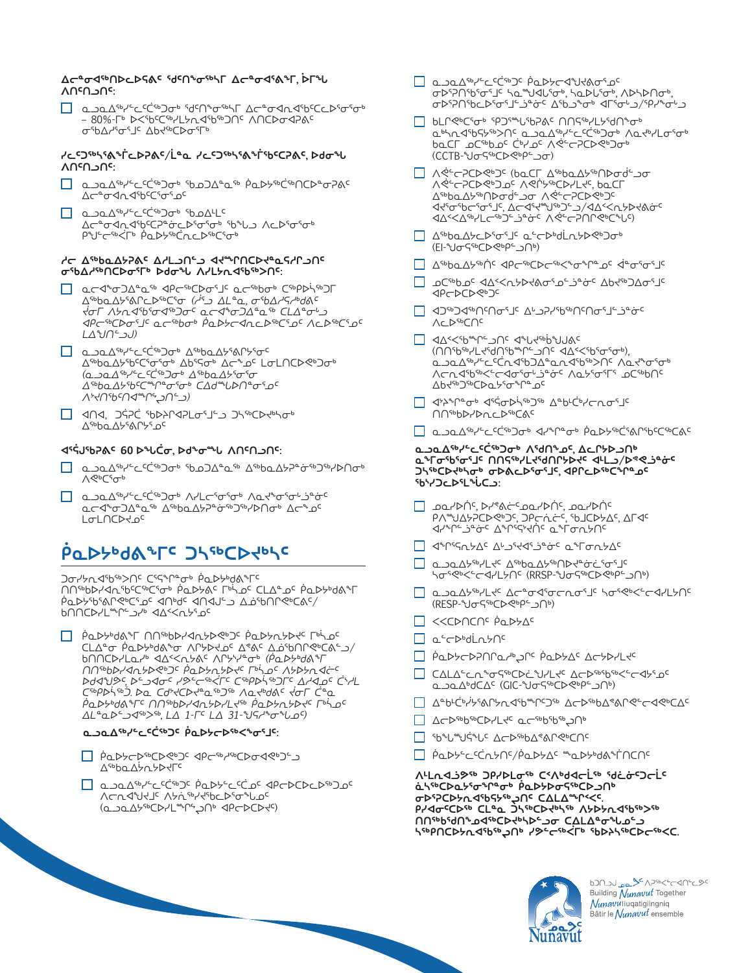

620123794565622016 Building Nunavut Together *Nunavu* liuqatigiingniq Bâtir le *Nunavut* ensemble

- ∧⊂*∿*√ራ∟√ <sup></sup>ג∕לי ∧⊁לי ילי גר (ᓇᓗᓇᐃᔭᖅᑕᐅᓯᒪᙱᖦᖢᑎᒃ ᐊᑭᓕᐅᑕᐅᔪᑦ)
- ᑮᓇᐅᔭᓕᐅᖅᑕᐅᕙᒃᑐᑦ ᐊᑭᓕᖅᓱᖅᑕᐅᓂᐊᕙᒃᑐᓪᓗ ∧sbho ∧șn spalle
- 
- 
- ᓇᓗᓇᐃᖅᓯᓪᓚᑦᑖᖅᑐᑦ ᑮᓇᐅᔭᓪᓚᑦᑖᓄᑦ ᐊᑭᓕᐅᑕᐅᓚᐅᖅᑐᓄᑦ

**ᐱᒻᒪᕆᐊᓘᕗᖅ ᑐᑭᓯᐅᒪᓂᖅ ᑕᑉᐱᒃᑯᐊᓕᒫᖅ ᖁᓛᓃᑦᑐᓕᒫᑦ ₫**აჼ₢ϷႭႸჼσჼՐჼσჼ *Ⴒ*ႭϷႸϷσϚჼჼႠϷჂႶჼ **ᢦᢧᢂᢐᢧ᠙᠑ᢣ᠗ᡆ᠑ᠷᠢ᠖ᡕᢄ ዖ/⊲**σ<sup>c</sup>CÞ℠ CLª௳ ጋኣ℠ርϷ<del>∛</del>ℕኈ ለሃϷሃሲ⊲Ⴊჼእና **ᑎᑎᖅᑲᖁᑎᖕᓄᐊᖅᑕᐅᔪᒃᓴᐅᓪᓗᓂ ᑕᐃᒪᐃᓐᓂᖓᓄᓪᓗ**  *ᢣᢐ***ᡋᡊᢆᡄᢂᢣᡘᢦᡏᢠ᠅᠕᠉᠂᠀ᡔᢄᢅ᠆᠅ᢠᡬ᠘᠉ᡕ᠗ᢆᢣᢣᡏ᠉ᢕᢄ** 

- PODY COLLOC/PODYAC "QDY"OGN'
- **</u>**
- □ △←▷SBBSD-YL+C a←SBBSDSBD-
- ᐃᓐᑲᒻᑖᒃᓰᔭᕐᕕᒋᔭᕆᐊᖃᙱᑦᑐᖅ ᐃᓕᐅᖅᑲᐃᕝᕕᒋᕙᓪᓕᐊᕙᒃᑕᐃᑦ
- **CALASCA**\*ch\*ochethyle Achimities ت عط∆6dC∆ (GIC-U קייר היא השי
- ﻰ Actycomner actyone actyone
- ᓇᓪᓕᐅᒃᑯᒫᕆᔭᑎᑦ
- ᐸᐸᑕᐅᑎᑕᑎᑦ ᑮᓇᐅᔭᐃᑦ
- ෬෬෭෪෦෦෮෬෬෬෬෫෦෬෬෫෦෬෫෦෫෫෬෫෦෦෫෦෮෦ (RESP-Uo<GPC)<br />
(RESP-Uo<GPC)<br />
(RESP-Uo<GPC)<br />
(RESP-Uo<GPC)<br />
(RESP-Uo<GPC)<br />
(RESP-Uo<GPC)<br />
(RESP-Uo<GPC)<br />
(RESP-Uo<GPC)<br />
(RESP-Uo<GPC)<br />
(RESP-Uo<GPC)<br />
(RESP-Uo<GPC)<br />
(R
- ᓇᓗᓇᐃᔭᖅᓯᒪᔪᑦ ᐃᖅᑲᓇᐃᔭᖅᑎᐅᔪᓐᓃᓛᕐᓂᕐᒧᑦ **ᢣ**ᠥ᠍᠍᠍᠍ᡊ᠊ᢄᡄᡏᢦᡰ᠘ᢣ᠐ᠻ᠂ᠺᡌᠷ᠑ᢣ᠀ᢆᡕ᠖ᢆᡧᠷ᠓
- 
- <del></del>◯ ଏଂՐፕናሲኦΔς ∆«גולים״aº aº contro
- ᓄᓇᓯᐅᑏᑦ, ᐅᓯᕝᕕᓖᑦᓄᓇᓯᐅᑏᑦ, ᓄᓇᓯᐅᑏᑦ የΛ΅IJΔ5ΡCϷৎ Ͽς, ϽΡςάςς, ჼbJCϷ϶Δς, ΔΓ⊲ς ⊲ץ∱دי≙∂خ∩י

### **ᑐᓴᖅᑕᐅᔪᒃᓴᓂᒃ ᓂᐅᕕᓚᐅᕐᓂᕐᒧᑦ, ᐊᑭᒋᓚᐅᖅᑕᖏᓐᓄᑦ ᖃᔅᓯᑐᓚᐅᕐᒪᖔᑕᓗ:**

### **ᓇᓗᓇᐃᖅᓯᓪᓚᑦᑖᖅᑐᓂᒃ ᐱᖁᑎᖕᓄᑦ, ᐃᓚᒋᔭᐅᓗᑎᒃ ᓇᖕᒥᓂᖃᕐᓂᕐᒧᑦ ᑎᑎᕋᖅᓯᒪᔪᖁᑎᒋᔭᐅᔪᑦ ᐊᒻᒪᓗ/ᐅᕝᕙᓘᓐᓃᑦ**

- ๊ ๊ ๊ Q )Q ∆<sup>Sb</sup> / <sup>C</sup> C <sup>C Sb</sup> O & 3 Y º P º O & P P & C SA P SP C SP C & C
- ∢≽º∩≁ჯ™ IS IY S ႶႶ₠ᲮႦჄ₯௳
- ∆Ხ₭<sub>₫</sub>₽<sub>∂</sub> პდანდადა
- (∩∩<sup>6</sup>6%) ית <4%<65% יחב مكمك<sup>∉</sup>7وتكر المطابكة مسابحة المسابحة المسابحة <u> ∧ᢏ</u>┎◁<del></del>ផ") ۾ ∧ُد∩√קי
- </u>
- ᐱᓚᐅᖅᑕᑎᑦ
- "Gwelch de Caphorade De Caphorade D
- ⊲Ρ⊂▷⊂▷
- 
- 
- აС<sub>4</sub> აჯაბჯაჯაბა ამაკაბები
- ∆ª⊌ba∆קייך ⊲Pr÷oc
- 

- 
- 

## (EI-VOSTOROO

- 
- 
- 

- 
- 

## ᐃᖅᑲᓇᐃᔭᓚᐅᕐᓂᕐᒧᑦ ᓇᓪᓕᐅᒃᑯᒫᕆᔭᐅᕙᒃᑐᓂᒃ

#### ᐃᖅᑲᓇᐃᔭᖅᑎᐅᓂᑰᓪᓗᓂ ᐱᕚᓪᓕᕈᑕᐅᕙᒃᑐᑦ **◁**ּלקס־<sup>ג</sup>סייביק, ∆⊂לקײַשיט∸)∕ ל∆י<ת ᐊᐃᑉᐸᐃᖅᓯᒪᓕᖅᑐᓪᓘᓐᓃᑦ ᐱᕚᓪᓕᕈᑎᒋᕙᒃᑕᖓᑦ)

— *∧ᢤ᠆*₴ᢗᢂ <mark></mark> ᐱᕚᓪᓕᕈᑕᐅᕙᒃᑐᓄᑦ ᐱᕙᒌᔭᖅᑕᐅᓯᒪᔪᑦ, ᑲᓇᑕᒥ

■ bLՐ < ºC º º ºPD º º º DO º O º O MOS "PLY" **Q** bhn<1b555b>∩ Q\_on AsbY C<CsbJob Aq<br/>b/Losob ᑲᓇᑕᒥ ᓄᑕᖅᑲᓄᑦ ᑖᒃᓯᓄᑦ ᐱᕚᓪᓕᕈᑕᐅᕙᒃᑐᓂᒃ (CCTB-Voc96DE)

— a COLO COLO COLO COLOR

ᓂᐅᕐᕈᑎᖃᕐᓂᕐᒧᑦ ᓴᓇᙳᐊᒐᕐᓂᒃ, ᓴᓇᐅᒐᕐᓂᒃ, ᐱᐅᓴᐅᑎᓂᒃ, **Œ** 

### **᠘**⊂ªơ◁℠በϷ⊂ϷϚል<sup>ϲ</sup> ႯႯበ℠ơ℠℩ℾ ∆⊂ªơଏጜል℠ℾ, Ϸ୮℠Ⴑ **ᐱᑎᑦᑎᓗᑎᑦ:**

 ᓇᓗᓇᐃᖅᓯᓪᓚᑦᑖᖅᑐᓂᒃ ᖁᑦᑎᖕᓂᖅᓴᒥ ᐃᓕᓐᓂᐊᕆᐊᖃᑦᑕᓚᐅᕐᓂᕐᓂᒃ – 80%-Ր ⊳<ናb<sup>c</sup>C℠/L5ሊኆႪ℠ϽՈϚ ለՈርϷσ⊲₽ል<sup>ϲ</sup> σ<sup>5</sup>bΔ<sub>σες</sub> ις Δbτερωεις

**ᓯᓚᑦᑐᖅᓴᕐᕕᖕᒦᓚᐅᕈᕕᑦ/ᒫᓐᓇ ᓯᓚᑦᑐᖅᓴᕐᕕᖕᒦᖃᑦᑕᕈᕕᑦ, ᐅᑯᓂᖓ** 

 ᓇᓗᓇᐃᖅᓯᓪᓚᑦᑖᖅᑐᓂᒃ ᖃᓄᑐᐃᓐᓇᖅ ᑮᓇᐅᔭᖅᑖᖅᑎᑕᐅᓐᓂᕈᕕᑦ

ᐃᓕᓐᓂᐊᕆᐊᖃᑦᑕᕈᓐᓃᓚᐅᕐᓂᕐᓂᒃ ᖃᖓᓗ ᐱᓚᐅᕐᓂᕐᓂᒃ

**ᓱᓕ ᐃᖅᑲᓇᐃᔭᕈᕕᑦ ᐃᓱᒪᓗᑎᓪᓗ ᐊᔪᙱᑎᑕᐅᔪᓐᓇᕋᓱᒋᓗᑎᑦ σ** 6Δ/ 6Ν/ Ο ΦΘΣ Ο ΦΘΣ Ο ΦΘΣ Ο ΜΑΙ ΑΛΟ ΦΘΣ Ο ΦΘΣ

 ᓇᓕᐊᖕᓂᑐᐃᓐᓇᖅ ᐊᑭᓕᖅᑕᐅᓂᕐᒧᑦ ᓇᓕᖅᑲᓂᒃ ᑕᖅᑭᐅᓵᖅᑐᒥ ᐃᖅᑲᓇᐃᔭᕐᕕᒋᓚᐅᖅᑕᕐᓂ *(ᓲᕐᓗ ᐃᒪᓐᓇ, ᓂᖃᐃᓱᕋᓱᒃᑯᕕᑦ ᔫᓂᒥ ᐱᔭᕆᐊᖃᕐᓂᐊᖅᑐᓂᑦ ᓇᓕᐊᖕᓂᑐᐃᓐᓇᖅ ᑕᒪᐃᓐᓂᒡᓗ ᐊᑭᓕᖅᑕᐅᓂᕐᒧᑦ ᓇᓕᖅᑲᓂᒃ ᑮᓇᐅᔭᓕᐊᕆᓚᐅᖅᑕᕐᓄᑦ ᐱᓚᐅᖅᑕᕐᓄᑦ* 

∆<sup>ς</sup> ხα⊥ასასადება ახულა ბძადა ადენსება

 ᓇᓗᓇᐃᖅᓯᓪᓚᑦᑖᖅᑐᓂᒃ ᖃᓄᑐᐃᓐᓇᖅ ᐃᖅᑲᓇᐃᔭᕈᓐᓃᖅᑐᖅᓯᐅᑎᓂᒃ

∩∩ºb>Yଏ∿ ºb°CººCº PQDY&° Г ºjO° CLAº O º PQDY DA À AdibHershine Char and and a diberency

— PADY ON THE PLAY ON THE PAD ON THE PROPERTY ᑕᒪᐃᓐᓂ ᑮᓇᐅᔭᒃᑯᕕᖕᓂ ᐱᒋᔭᐅᔪᓄᑦ ᐃᕝᕕᑦ ᐃᓅᖃᑎᒋᕙᒃᑕᕕᓪᓗ/ ᑲᑎᑎᑕᐅᓯᒪᓇᓯᒃ ᐊᐃᑉᐸᕆᔭᕕᑦ ᐱᒋᔭᔅᓯᓐᓂᒃ *(ᑮᓇᐅᔭᒃᑯᕕᖕᒥ ᑎᑎᖅᑲᐅᓯᐊᕆᔭᐅᕙᒃᑐᑦ ᑮᓇᐅᔭᕆᔭᐅᔪᑦ ᒥᒃᓵᓄᑦ ᐱᔭᐅᔭᕆᐊᓖᑦ ᐅᑯᐊᖑᕗᑦ, ᐅᓪᓗᐊᓂᑦ ᓯᕗᓪᓕᖅᐹᒥᑦ ᑕᖅᑭᐅᓵᖅᑐᒥᑦ ᐃᓱᐊᓄᑦ ᑖᔅᓱᒪ ᑕᖅᑭᐅᓵᖅᑑ. ᐅᓇ ᑕᑯᔾᔪᑕᐅᔪᓐᓇᖅᑐᖅ ᐱᓇᔪᒃᑯᕕᑦ ᔫᓂᒥ ᑖᓐᓇ ᑮᓇᐅᔭᒃᑯᕕᖕᒥᑦ ᑎᑎᖅᑲᐅᓯᐊᕆᔭᐅᓯᒪᔪᖅ ᑮᓇᐅᔭᕆᔭᐅᔪᑦ ᒥᒃᓵᓄᑦ ᐃᒪᓐᓇᐅᓪᓗᐊᖅᐳᖅ, ᒪᐃ 1-ᒥᑦ ᒪᐃ 31-ᖑᕋᓱᖕᓂᖓᓄᑦ)*  **ᓇᓗᓇᐃᖅᓯᓪᓚᑦᑖᖅᑐᑦ ᑮᓇᐅᔭᓕᐅᖅᐸᖕᓂᕐᒧᑦ:**

— പാല∆<sup> പ</sup>്ര<sup>ാ</sup> ് ്<sup>രോക </sup> ∧പ്പെട്ടി ് ∧പ്പെട്ടില് ᓇᓕᐊᖕᓂᑐᐃᓐᓇᖅ ᐃᖅᑲᓇᐃᔭᕈᓐᓃᖅᑐᖅᓯᐅᑎᓂᒃ ᐃᓕᖕᓄᑦ

**ᐱᑎᑦᑎᓗᑎᑦ:**

∆⊂ªᠸ⊄∩≺ººCº<del></del> © ≫°∱©© © © ≫∆∆∟

*ᒪᐃᖑᑎᓪᓗᒍ)*

*P°J* CSP PODSPDCOO

**</u> <u></u> а⊃а∆** \$P°⊂⊂⊂Ссбърсъ Дораду \$P°

*(ᓇᓗᓇᐃᖅᓯᓪᓚᑦᑖᖅᑐᓂᒃ ᐃᖅᑲᓇᐃᔭᕐᓂᕐᓂ ᐃᖅᑲᓇᐃᔭᖃᑦᑕᙱᓐᓂᕐᓂᒃ ᑕᐃᑯᙵᐅᑎᓐᓂᕐᓄᑦ* 

┌ ଏଠଏ, גלףכׂ ישראקלים אליכנגישקל

**ᐊᕐᕌᒍᖃᕈᕕᑦ 60 ᐅᖓᑖᓂ, ᐅᑯᖕᓂᙵ ᐱᑎᑦᑎᓗᑎᑦ:**

**ᑮᓇᐅᔭᒃᑯᕕᖕᒥᑦ ᑐᓴᖅᑕᐅᔪᒃᓴᑦ**

**Ͻ**σረሃሊፈማሪ ረማግራር የፍግግግ የአይታልም የ

ႦႶႶႠჁႨႾ<sub>ჼ</sub>ჁႺჂჄႩ

*ᐱᔾᔪᑎᖃᑦᑎᐊᙱᖦᖢᑎᓪᓗ)*

Δ<sup>Sb</sup>ρα Δ<sup>5</sup>λλ<sup>ε</sup> Δ<sup>c</sup>

ᐱᕙᒃᑕᕐᓂᒃ

L**o**LNC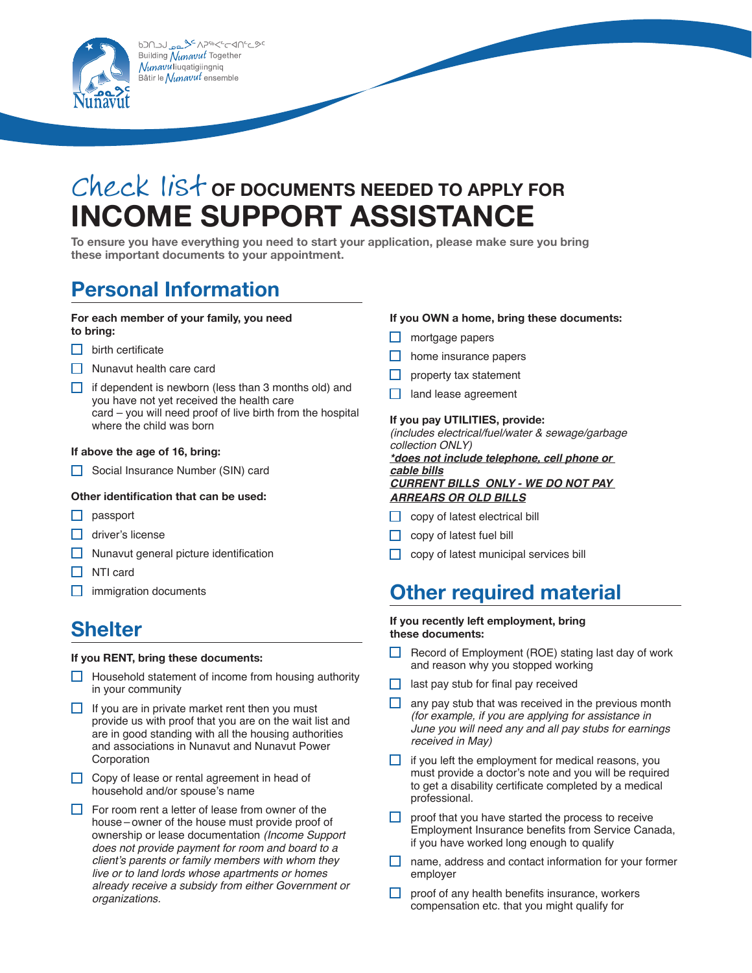ᡋᠫᡗ᠌**ᢇ᠑**᠂ᡔᢁᢋ**ᢣ**ᢄ᠕<del>᠀</del>ᡐᢗᢄᠵᢉ᠓ᢄ Building Nunavut Together *Nunavu*liuqatigiingniq 3âtir le *Nunavut* ensemble



**To ensure you have everything you need to start your application, please make sure you bring these important documents to your appointment.**

### **Personal Information**

#### **For each member of your family, you need to bring:**

- $\Box$  birth certificate
- $\Box$  Nunavut health care card
- $\Box$  if dependent is newborn (less than 3 months old) and you have not yet received the health care card – you will need proof of live birth from the hospital where the child was born

#### **If above the age of 16, bring:**

Social Insurance Number (SIN) card

#### **Other identification that can be used:**

- $\Box$  passport
- $\Box$  driver's license
- $\Box$  Nunavut general picture identification
- $\Box$  NTI card
- $\Box$  immigration documents

### **Shelter**

#### **If you RENT, bring these documents:**

- $\Box$  Household statement of income from housing authority in your community
- $\Box$  If you are in private market rent then you must provide us with proof that you are on the wait list and are in good standing with all the housing authorities and associations in Nunavut and Nunavut Power Corporation
- $\Box$  Copy of lease or rental agreement in head of household and/or spouse's name
- $\Box$  For room rent a letter of lease from owner of the house – owner of the house must provide proof of ownership or lease documentation *(Income Support does not provide payment for room and board to a client's parents or family members with whom they live or to land lords whose apartments or homes already receive a subsidy from either Government or organizations.*

#### **If you OWN a home, bring these documents:**

- $\Box$  mortgage papers
- $\Box$  home insurance papers
- $\Box$  property tax statement
- $\Box$  land lease agreement

#### **If you pay UTILITIES, provide:**

*(includes electrical/fuel/water & sewage/garbage collection ONLY)*

*\*does not include telephone, cell phone or cable bills CURRENT BILLS ONLY - WE DO NOT PAY ARREARS OR OLD BILLS*

- $\Box$  copy of latest electrical bill
- $\Box$  copy of latest fuel bill
- $\Box$  copy of latest municipal services bill

### **Other required material**

#### **If you recently left employment, bring these documents:**

- Record of Employment (ROE) stating last day of work and reason why you stopped working
- $\Box$  last pay stub for final pay received
- $\Box$  any pay stub that was received in the previous month *(for example, if you are applying for assistance in June you will need any and all pay stubs for earnings received in May)*
- $\Box$  if you left the employment for medical reasons, you must provide a doctor's note and you will be required to get a disability certificate completed by a medical professional.
- $\Box$  proof that you have started the process to receive Employment Insurance benefits from Service Canada, if you have worked long enough to qualify
- $\Box$  name, address and contact information for your former employer
- $\Box$  proof of any health benefits insurance, workers compensation etc. that you might qualify for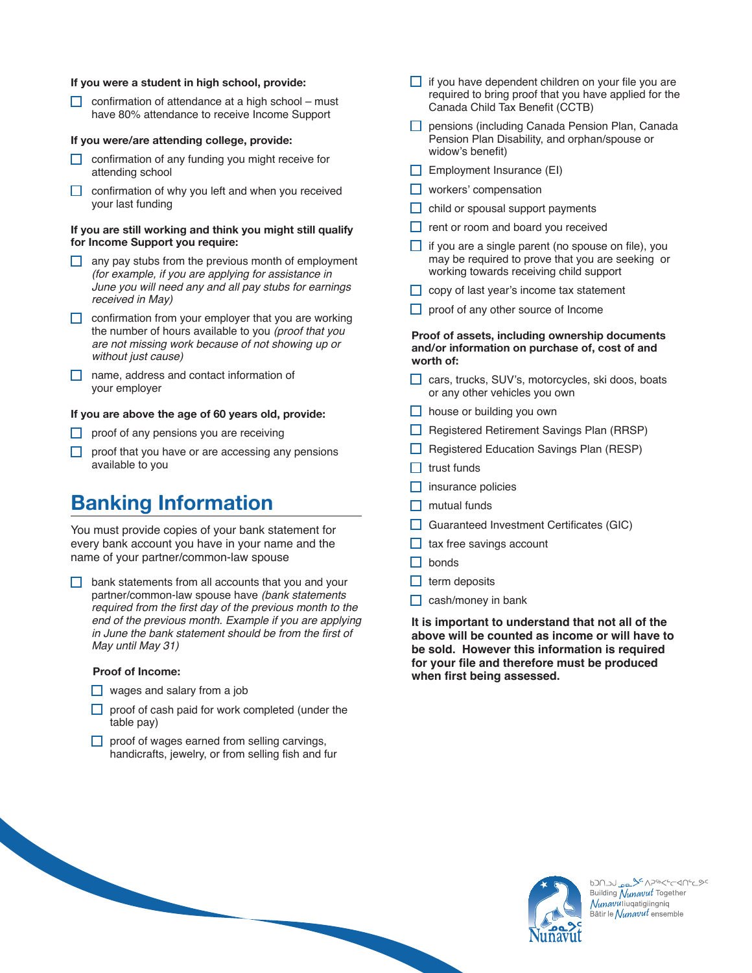#### **If you were a student in high school, provide:**

 $\Box$  confirmation of attendance at a high school – must have 80% attendance to receive Income Support

#### **If you were/are attending college, provide:**

- $\Box$  confirmation of any funding you might receive for attending school
- $\Box$  confirmation of why you left and when you received your last funding

#### **If you are still working and think you might still qualify for Income Support you require:**

- $\Box$  any pay stubs from the previous month of employment *(for example, if you are applying for assistance in June you will need any and all pay stubs for earnings received in May)*
- $\Box$  confirmation from your employer that you are working the number of hours available to you *(proof that you are not missing work because of not showing up or without just cause)*
- name, address and contact information of your employer

#### **If you are above the age of 60 years old, provide:**

- $\Box$  proof of any pensions you are receiving
- $\Box$  proof that you have or are accessing any pensions available to you

### **Banking Information**

You must provide copies of your bank statement for every bank account you have in your name and the name of your partner/common-law spouse

 $\Box$  bank statements from all accounts that you and your partner/common-law spouse have *(bank statements*  required from the first day of the previous month to the *end of the previous month. Example if you are applying*  in June the bank statement should be from the first of *May until May 31)* 

#### **Proof of Income:**

- $\Box$  wages and salary from a job
- $\Box$  proof of cash paid for work completed (under the table pay)
- $\Box$  proof of wages earned from selling carvings, handicrafts, jewelry, or from selling fish and fur
- $\Box$  if you have dependent children on your file you are required to bring proof that you have applied for the Canada Child Tax Benefit (CCTB)
- **pensions (including Canada Pension Plan, Canada** Pension Plan Disability, and orphan/spouse or widow's benefit)
- $\Box$  Employment Insurance (EI)
- $\Box$  workers' compensation
- $\Box$  child or spousal support payments
- $\Box$  rent or room and board you received
- $\Box$  if you are a single parent (no spouse on file), you may be required to prove that you are seeking or working towards receiving child support
- $\Box$  copy of last year's income tax statement
- $\Box$  proof of any other source of Income

#### **Proof of assets, including ownership documents and/or information on purchase of, cost of and worth of:**

- □ cars, trucks, SUV's, motorcycles, ski doos, boats or any other vehicles you own
- house or building you own
- Registered Retirement Savings Plan (RRSP)
- Registered Education Savings Plan (RESP)
- $\Box$  trust funds
- $\Box$  insurance policies
- $\Box$  mutual funds
- $\Box$  Guaranteed Investment Certificates (GIC)
- $\Box$  tax free savings account
- $\Box$  bonds
- $\Box$  term deposits
- $\Box$  cash/money in bank

**It is important to understand that not all of the above will be counted as income or will have to be sold. However this information is required for your file and therefore must be produced when first being assessed.**



620120 PR<sup>5</sup> APSOK-C-AN-C9C Building Nunavut Together *Nunavu* liuqatigiingniq Bâtir le *Nunavut* ensemble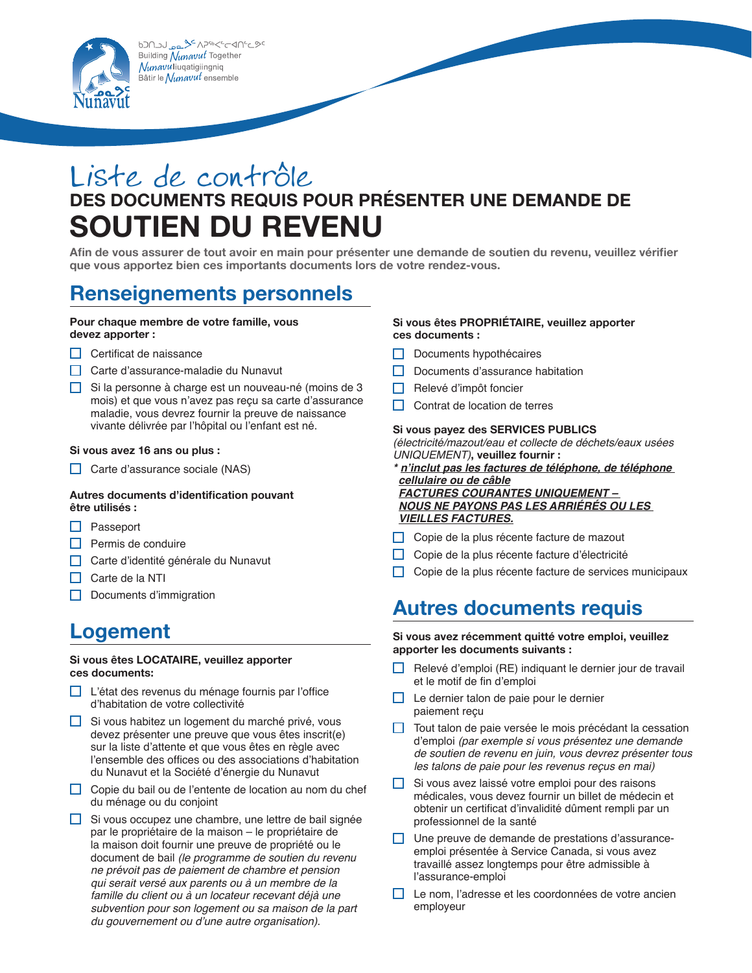ᡋᠫᡗ᠌**ᢇ᠑**᠂ᡔᢁᢋ**ᢣ**ᢄ᠕<del>᠀</del>ᡐᢗᢄᠵᢉ᠓ᢄ Building Nunavut Together Nunavuliuqatigiingniq Bâtir le  $\mathcal N_\mathcal U$ navu $t$  ensemble



## Liste de contrôle **des documents requis pour présenter une demande de soutien du revenu**

**Afin de vous assurer de tout avoir en main pour présenter une demande de soutien du revenu, veuillez vérifier que vous apportez bien ces importants documents lors de votre rendez-vous.** 

### **Renseignements personnels**

#### **Pour chaque membre de votre famille, vous devez apporter :**

- $\Box$  Certificat de naissance
- Carte d'assurance-maladie du Nunavut
- $\Box$  Si la personne à charge est un nouveau-né (moins de 3 mois) et que vous n'avez pas reçu sa carte d'assurance maladie, vous devrez fournir la preuve de naissance vivante délivrée par l'hôpital ou l'enfant est né.

#### **Si vous avez 16 ans ou plus :**

 $\Box$  Carte d'assurance sociale (NAS)

#### **Autres documents d'identification pouvant être utilisés :**

- $\Box$  Passeport
- $\Box$  Permis de conduire
- Carte d'identité générale du Nunavut
- $\Box$  Carte de la NTI
- $\Box$  Documents d'immigration

### **Logement**

#### **Si vous êtes LOCATAIRE, veuillez apporter ces documents:**

- L'état des revenus du ménage fournis par l'office d'habitation de votre collectivité
- $\Box$  Si vous habitez un logement du marché privé, vous devez présenter une preuve que vous êtes inscrit(e) sur la liste d'attente et que vous êtes en règle avec l'ensemble des offices ou des associations d'habitation du Nunavut et la Société d'énergie du Nunavut
- Copie du bail ou de l'entente de location au nom du chef du ménage ou du conjoint
- $\Box$  Si vous occupez une chambre, une lettre de bail signée par le propriétaire de la maison – le propriétaire de la maison doit fournir une preuve de propriété ou le document de bail *(le programme de soutien du revenu ne prévoit pas de paiement de chambre et pension qui serait versé aux parents ou à un membre de la famille du client ou à un locateur recevant déjà une subvention pour son logement ou sa maison de la part du gouvernement ou d'une autre organisation)*.

#### **Si vous êtes PROPRIÉTAIRE, veuillez apporter ces documents :**

- $\Box$  Documents hypothécaires
- Documents d'assurance habitation
- $\Box$  Relevé d'impôt foncier
- $\Box$  Contrat de location de terres

#### **Si vous payez des SERVICES PUBLICS**

*(électricité/mazout/eau et collecte de déchets/eaux usées UNIQUEMENT)***, veuillez fournir :**

- *\* n'inclut pas les factures de téléphone, de téléphone cellulaire ou de câble FACTURES COURANTES UNIQUEMENT – NOUS NE PAYONS PAS LES ARRIÉRÉS OU LES VIEILLES FACTURES.*
- Copie de la plus récente facture de mazout
- Copie de la plus récente facture d'électricité
- Copie de la plus récente facture de services municipaux

### **Autres documents requis**

#### **Si vous avez récemment quitté votre emploi, veuillez apporter les documents suivants :**

- Relevé d'emploi (RE) indiquant le dernier jour de travail et le motif de fin d'emploi
- $\Box$  Le dernier talon de paie pour le dernier paiement reçu
- $\Box$  Tout talon de paie versée le mois précédant la cessation d'emploi *(par exemple si vous présentez une demande de soutien de revenu en juin, vous devrez présenter tous les talons de paie pour les revenus reçus en mai)*
- $\Box$  Si vous avez laissé votre emploi pour des raisons médicales, vous devez fournir un billet de médecin et obtenir un certificat d'invalidité dûment rempli par un professionnel de la santé
- $\Box$  Une preuve de demande de prestations d'assuranceemploi présentée à Service Canada, si vous avez travaillé assez longtemps pour être admissible à l'assurance-emploi
- Le nom, l'adresse et les coordonnées de votre ancien employeur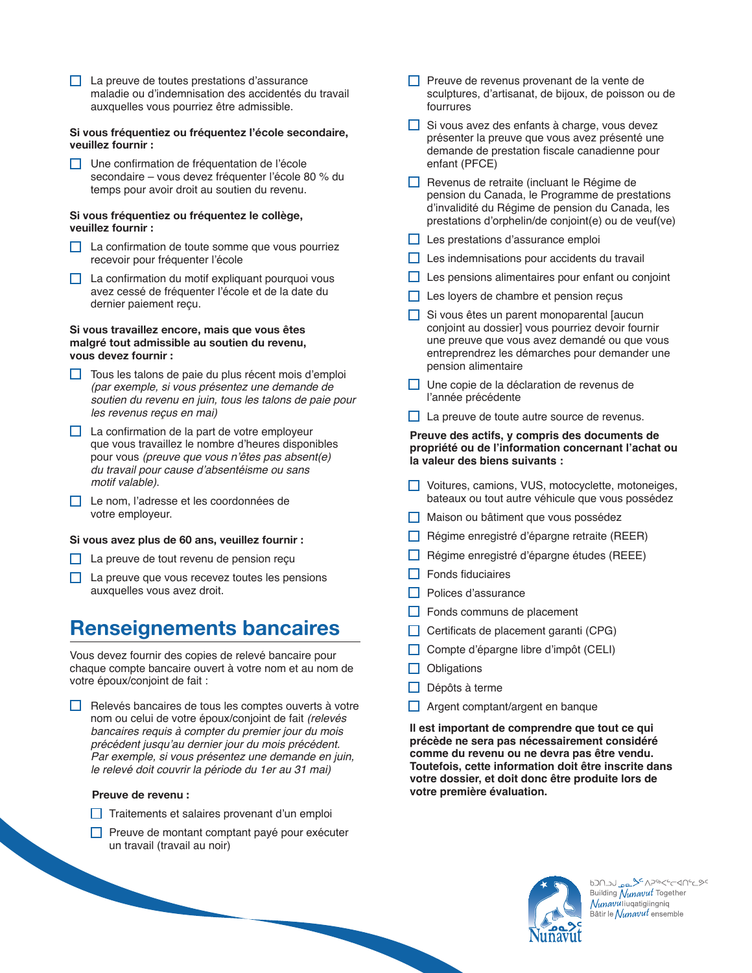La preuve de toutes prestations d'assurance maladie ou d'indemnisation des accidentés du travail auxquelles vous pourriez être admissible.

#### **Si vous fréquentiez ou fréquentez l'école secondaire, veuillez fournir :**

Une confirmation de fréquentation de l'école secondaire – vous devez fréquenter l'école 80 % du temps pour avoir droit au soutien du revenu.

#### **Si vous fréquentiez ou fréquentez le collège, veuillez fournir :**

- $\Box$  La confirmation de toute somme que vous pourriez recevoir pour fréquenter l'école
- $\Box$  La confirmation du motif expliquant pourquoi vous avez cessé de fréquenter l'école et de la date du dernier paiement reçu.

#### **Si vous travaillez encore, mais que vous êtes malgré tout admissible au soutien du revenu, vous devez fournir :**

- $\Box$  Tous les talons de paie du plus récent mois d'emploi *(par exemple, si vous présentez une demande de soutien du revenu en juin, tous les talons de paie pour les revenus reçus en mai)*
- $\Box$  La confirmation de la part de votre employeur que vous travaillez le nombre d'heures disponibles pour vous *(preuve que vous n'êtes pas absent(e) du travail pour cause d'absentéisme ou sans motif valable)*.
- Le nom, l'adresse et les coordonnées de votre employeur.

#### **Si vous avez plus de 60 ans, veuillez fournir :**

- $\Box$  La preuve de tout revenu de pension reçu
- $\Box$  La preuve que vous recevez toutes les pensions auxquelles vous avez droit.

### **Renseignements bancaires**

Vous devez fournir des copies de relevé bancaire pour chaque compte bancaire ouvert à votre nom et au nom de votre époux/conjoint de fait :

 $\Box$  Relevés bancaires de tous les comptes ouverts à votre nom ou celui de votre époux/conjoint de fait *(relevés bancaires requis à compter du premier jour du mois précédent jusqu'au dernier jour du mois précédent. Par exemple, si vous présentez une demande en juin, le relevé doit couvrir la période du 1er au 31 mai)* 

#### **Preuve de revenu :**

- $\Box$  Traitements et salaires provenant d'un emploi
- $\Box$  Preuve de montant comptant payé pour exécuter un travail (travail au noir)
- $\Box$  Preuve de revenus provenant de la vente de sculptures, d'artisanat, de bijoux, de poisson ou de fourrures
- $\Box$  Si vous avez des enfants à charge, vous devez présenter la preuve que vous avez présenté une demande de prestation fiscale canadienne pour enfant (PFCE)
- $\Box$  Revenus de retraite (incluant le Régime de pension du Canada, le Programme de prestations d'invalidité du Régime de pension du Canada, les prestations d'orphelin/de conjoint(e) ou de veuf(ve)
- Les prestations d'assurance emploi
- $\Box$  Les indemnisations pour accidents du travail
- $\Box$  Les pensions alimentaires pour enfant ou conjoint
- Les loyers de chambre et pension reçus
- $\Box$  Si vous êtes un parent monoparental laucun conjoint au dossier] vous pourriez devoir fournir une preuve que vous avez demandé ou que vous entreprendrez les démarches pour demander une pension alimentaire
- Une copie de la déclaration de revenus de l'année précédente
- $\Box$  La preuve de toute autre source de revenus.

#### **Preuve des actifs, y compris des documents de propriété ou de l'information concernant l'achat ou la valeur des biens suivants :**

- Voitures, camions, VUS, motocyclette, motoneiges, bateaux ou tout autre véhicule que vous possédez
- Maison ou bâtiment que vous possédez
- $\Box$  Régime enregistré d'épargne retraite (REER)
- $\Box$  Régime enregistré d'épargne études (REEE)
- $\Box$  Fonds fiduciaires
- Polices d'assurance
- $\Box$  Fonds communs de placement
- $\Box$  Certificats de placement garanti (CPG)
- Compte d'épargne libre d'impôt (CELI)
- $\Box$  Obligations
- $\Box$  Dépôts à terme
- □ Argent comptant/argent en banque

**Il est important de comprendre que tout ce qui précède ne sera pas nécessairement considéré comme du revenu ou ne devra pas être vendu. Toutefois, cette information doit être inscrite dans votre dossier, et doit donc être produite lors de votre première évaluation.** 



620120 PR<sup>5</sup> APSOK-C-AN-C9C Building Nunavut Together *Nunavu* liuqatigiingniq Bâtir le *Nunavut* ensemble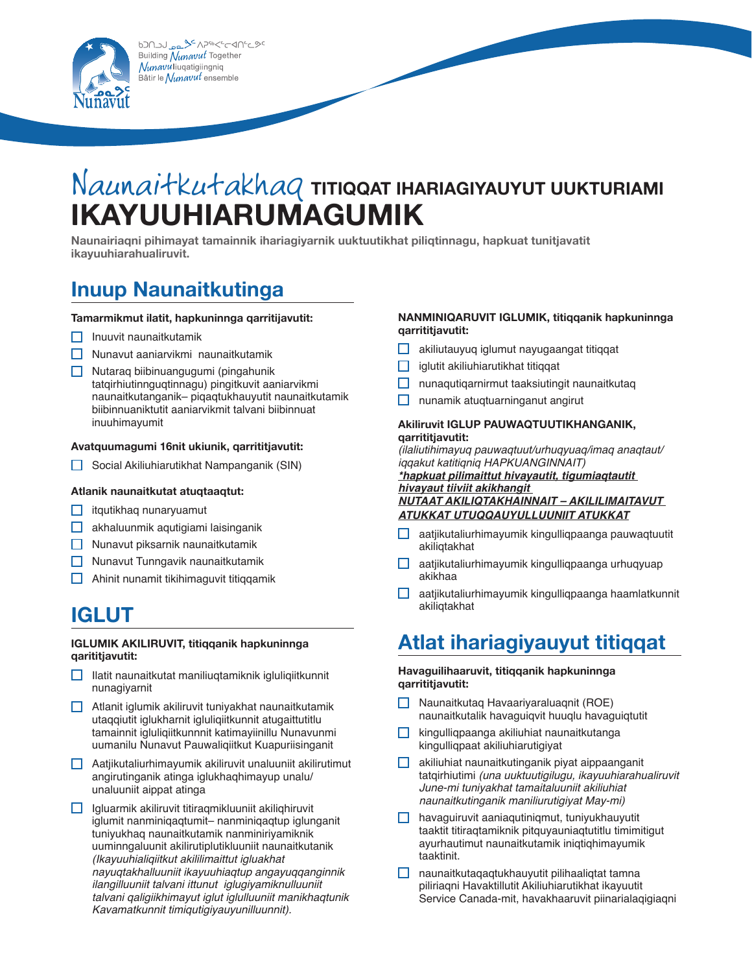

# Naunaitkutakhaq **titiqqat ihariagiyauyut uukturiami Ikayuuhiarumagumik**

**Naunairiaqni pihimayat tamainnik ihariagiyarnik uuktuutikhat piliqtinnagu, hapkuat tunitjavatit ikayuuhiarahualiruvit.**

### **Inuup Naunaitkutinga**

#### **Tamarmikmut ilatit, hapkuninnga qarritijavutit:**

- $\Box$  Inuuvit naunaitkutamik
- $\Box$  Nunavut aaniarvikmi naunaitkutamik
- Nutaraq biibinuangugumi (pingahunik tatqirhiutinnguqtinnagu) pingitkuvit aaniarvikmi naunaitkutanganik– piqaqtukhauyutit naunaitkutamik biibinnuaniktutit aaniarvikmit talvani biibinnuat inuuhimayumit

#### **Avatquumagumi 16nit ukiunik, qarrititjavutit:**

 $\Box$  Social Akiliuhiarutikhat Nampanganik (SIN)

#### **Atlanik naunaitkutat atuqtaaqtut:**

- $\Box$  itqutikhaq nunaryuamut
- akhaluunmik aqutigiami laisinganik
- $\Box$  Nunavut piksarnik naunaitkutamik
- Nunavut Tunngavik naunaitkutamik
- $\Box$  Ahinit nunamit tikihimaguvit titiqqamik

## **IGLUT**

#### **IGLUMIK AKILIRUVIT, titiqqanik hapkuninnga qarititjavutit:**

- $\Box$  Ilatit naunaitkutat maniliuqtamiknik igluliqiitkunnit nunagiyarnit
- $\Box$  Atlanit iglumik akiliruvit tuniyakhat naunaitkutamik utaqqiutit iglukharnit igluliqiitkunnit atugaittutitlu tamainnit igluliqiitkunnnit katimayiinillu Nunavunmi uumanilu Nunavut Pauwaliqiitkut Kuapuriisinganit
- Aatjikutaliurhimayumik akiliruvit unaluuniit akilirutimut angirutinganik atinga iglukhaqhimayup unalu/ unaluuniit aippat atinga
- $\Box$  Igluarmik akiliruvit titiraqmikluuniit akiliqhiruvit iglumit nanminiqaqtumit– nanminiqaqtup iglunganit tuniyukhaq naunaitkutamik nanminiriyamiknik uuminngaluunit akilirutiplutikluuniit naunaitkutanik *(Ikayuuhialiqiitkut akililimaittut igluakhat nayuqtakhalluuniit ikayuuhiaqtup angayuqqanginnik ilangilluuniit talvani ittunut iglugiyamiknulluuniit talvani qaligiikhimayut iglut iglulluuniit manikhaqtunik Kavamatkunnit timiqutigiyauyunilluunnit).*

#### **NANMINIQARUVIT IGLUMIK, titiqqanik hapkuninnga qarrititjavutit:**

- akiliutauyuq iglumut nayugaangat titiqqat
- $\Box$  iglutit akiliuhiarutikhat titiqqat
- $\Box$  nunaqutiqarnirmut taaksiutingit naunaitkutaq
- $\Box$  nunamik atuqtuarninganut angirut

#### **Akiliruvit IGLUP PAUWAQTUUTIKHANGANIK, qarrititjavutit:**

*(ilaliutihimayuq pauwaqtuut/urhuqyuaq/imaq anaqtaut/ iqqakut katitiqniq HAPKUANGINNAIT) \*hapkuat pilimaittut hivayautit, tigumiaqtautit* 

*hivayaut tiiviit akikhangit NUTAAT AKILIQTAKHAINNAIT – AKILILIMAITAVUT* 

#### *ATUKKAT UTUQQAUYULLUUNIIT ATUKKAT*

- aatjikutaliurhimayumik kingulliqpaanga pauwaqtuutit akiliqtakhat
- $\Box$  aatjikutaliurhimayumik kingulliqpaanga urhuqyuap akikhaa
- aatjikutaliurhimayumik kingulliqpaanga haamlatkunnit akiliqtakhat

## **Atlat ihariagiyauyut titiqqat**

#### **Havaguilihaaruvit, titiqqanik hapkuninnga qarrititjavutit:**

- Naunaitkutaq Havaariyaraluaqnit (ROE) naunaitkutalik havaguiqvit huuqlu havaguiqtutit
- $\Box$  kingulliqpaanga akiliuhiat naunaitkutanga kingulliqpaat akiliuhiarutigiyat
- $\Box$  akiliuhiat naunaitkutinganik piyat aippaanganit tatqirhiutimi *(una uuktuutigilugu, ikayuuhiarahualiruvit June-mi tuniyakhat tamaitaluuniit akiliuhiat naunaitkutinganik maniliurutigiyat May-mi)*
- $\Box$  havaguiruvit aaniaqutiniqmut, tuniyukhauyutit taaktit titiraqtamiknik pitquyauniaqtutitlu timimitigut ayurhautimut naunaitkutamik iniqtiqhimayumik taaktinit.
- $\Box$  naunaitkutaqaqtukhauyutit pilihaaliqtat tamna piliriaqni Havaktillutit Akiliuhiarutikhat ikayuutit Service Canada-mit, havakhaaruvit piinarialaqigiaqni